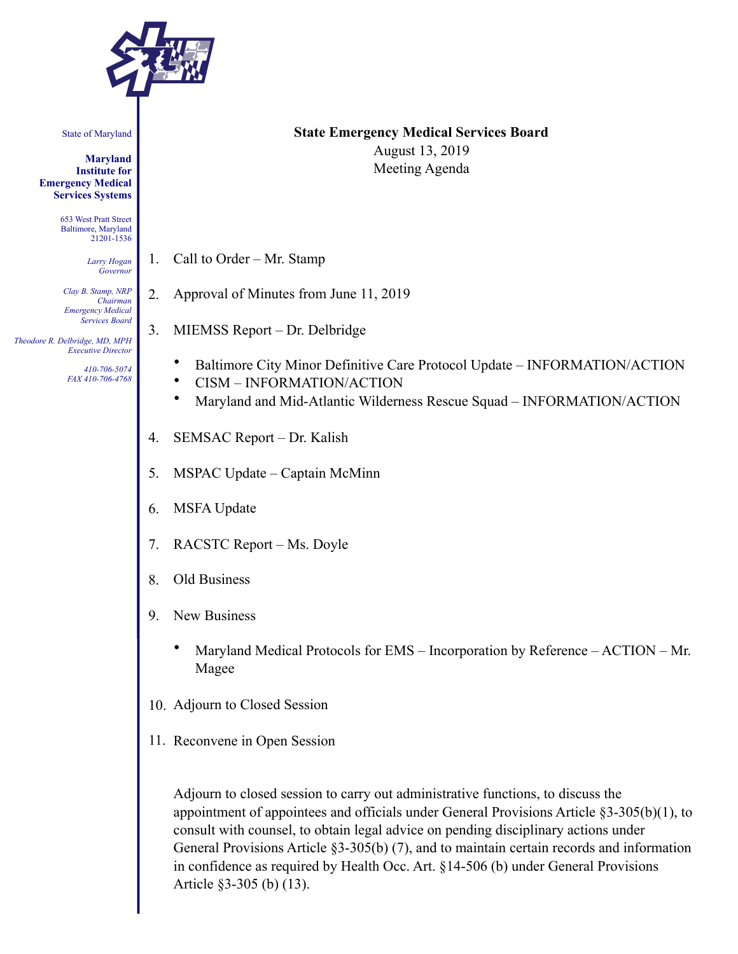

State of Maryland

**Maryland Institute for Emergency Medical Services Systems** 

> 653 West Pratt Street Baltimore, Maryland 21201-1536

> > *Larry Hogan Governor*

*Clay B. Stamp, NRP Chairman Emergency Medical Services Board* 

 *Theodore R. Delbridge, MD, MPH Executive Director*

> *410-706-5074 FAX 410-706-4768*

# **State Emergency Medical Services Board**

August 13, 2019 Meeting Agenda

- 1. Call to Order Mr. Stamp
- 2. Approval of Minutes from June 11, 2019
- 3. MIEMSS Report Dr. Delbridge
	- Baltimore City Minor Definitive Care Protocol Update INFORMATION/ACTION
	- CISM INFORMATION/ACTION
	- Maryland and Mid-Atlantic Wilderness Rescue Squad INFORMATION/ACTION
- 4. SEMSAC Report Dr. Kalish
- 5. MSPAC Update Captain McMinn
- 6. MSFA Update
- 7. RACSTC Report Ms. Doyle
- 8. Old Business
- 9. New Business
	- Maryland Medical Protocols for EMS Incorporation by Reference ACTION Mr. Magee
- 10. Adjourn to Closed Session
- 11. Reconvene in Open Session

Adjourn to closed session to carry out administrative functions, to discuss the appointment of appointees and officials under General Provisions Article §3-305(b)(1), to consult with counsel, to obtain legal advice on pending disciplinary actions under General Provisions Article §3-305(b) (7), and to maintain certain records and information in confidence as required by Health Occ. Art. §14-506 (b) under General Provisions Article §3-305 (b) (13).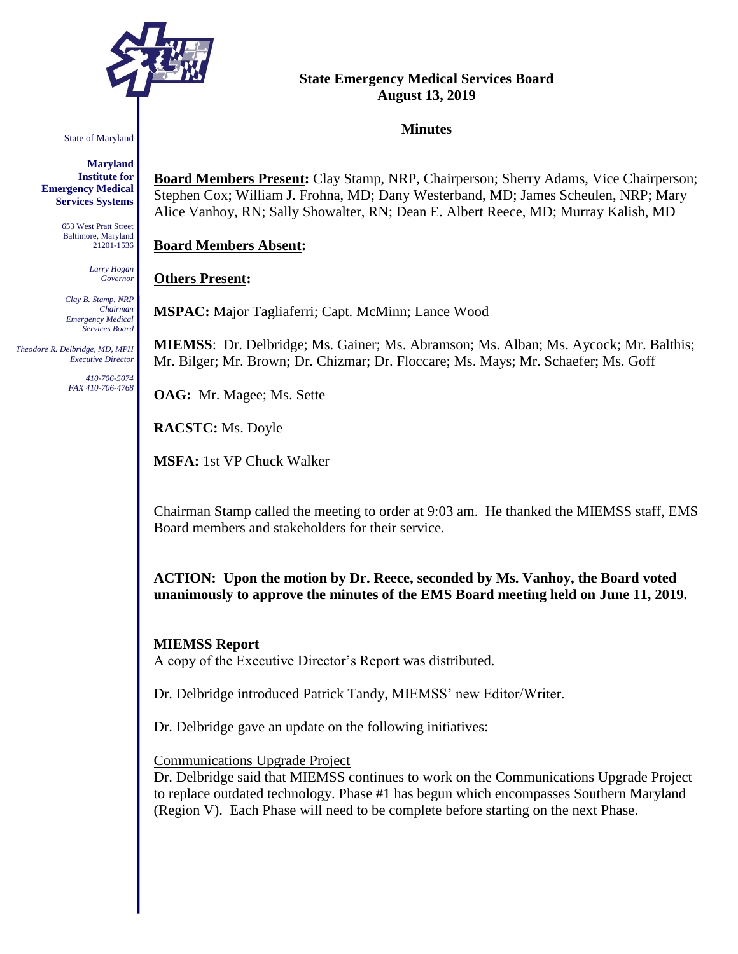

#### State of Maryland

**Maryland Institute for Emergency Medical Services Systems**

> 653 West Pratt Street Baltimore, Maryland 21201-1536

> > *Larry Hogan Governor*

*Clay B. Stamp, NRP Chairman Emergency Medical Services Board*

 *Theodore R. Delbridge, MD, MPH Executive Director*

> *410-706-5074 FAX 410-706-4768*

# **State Emergency Medical Services Board August 13, 2019**

#### **Minutes**

**Board Members Present:** Clay Stamp, NRP, Chairperson; Sherry Adams, Vice Chairperson; Stephen Cox; William J. Frohna, MD; Dany Westerband, MD; James Scheulen, NRP; Mary Alice Vanhoy, RN; Sally Showalter, RN; Dean E. Albert Reece, MD; Murray Kalish, MD

#### **Board Members Absent:**

#### **Others Present:**

**MSPAC:** Major Tagliaferri; Capt. McMinn; Lance Wood

**MIEMSS**: Dr. Delbridge; Ms. Gainer; Ms. Abramson; Ms. Alban; Ms. Aycock; Mr. Balthis; Mr. Bilger; Mr. Brown; Dr. Chizmar; Dr. Floccare; Ms. Mays; Mr. Schaefer; Ms. Goff

**OAG:** Mr. Magee; Ms. Sette

**RACSTC:** Ms. Doyle

**MSFA:** 1st VP Chuck Walker

Chairman Stamp called the meeting to order at 9:03 am. He thanked the MIEMSS staff, EMS Board members and stakeholders for their service.

**ACTION: Upon the motion by Dr. Reece, seconded by Ms. Vanhoy, the Board voted unanimously to approve the minutes of the EMS Board meeting held on June 11, 2019.** 

#### **MIEMSS Report**

A copy of the Executive Director's Report was distributed.

Dr. Delbridge introduced Patrick Tandy, MIEMSS' new Editor/Writer.

Dr. Delbridge gave an update on the following initiatives:

#### Communications Upgrade Project

Dr. Delbridge said that MIEMSS continues to work on the Communications Upgrade Project to replace outdated technology. Phase #1 has begun which encompasses Southern Maryland (Region V). Each Phase will need to be complete before starting on the next Phase.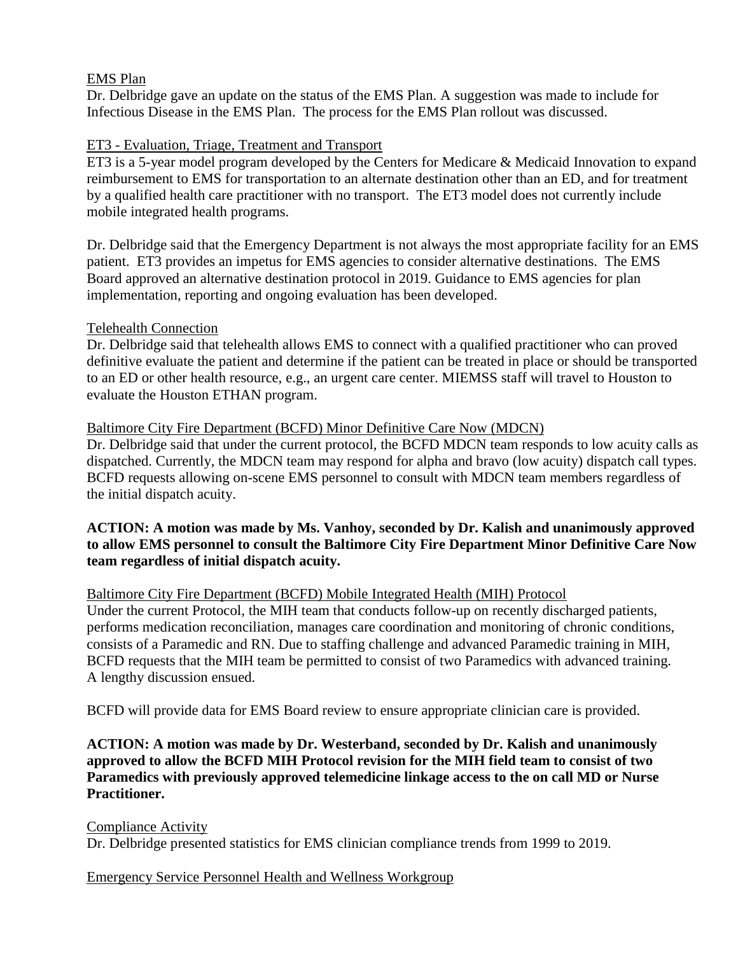# EMS Plan

Dr. Delbridge gave an update on the status of the EMS Plan. A suggestion was made to include for Infectious Disease in the EMS Plan. The process for the EMS Plan rollout was discussed.

# ET3 - Evaluation, Triage, Treatment and Transport

ET3 is a 5-year model program developed by the Centers for Medicare & Medicaid Innovation to expand reimbursement to EMS for transportation to an alternate destination other than an ED, and for treatment by a qualified health care practitioner with no transport. The ET3 model does not currently include mobile integrated health programs.

Dr. Delbridge said that the Emergency Department is not always the most appropriate facility for an EMS patient. ET3 provides an impetus for EMS agencies to consider alternative destinations. The EMS Board approved an alternative destination protocol in 2019. Guidance to EMS agencies for plan implementation, reporting and ongoing evaluation has been developed.

# Telehealth Connection

Dr. Delbridge said that telehealth allows EMS to connect with a qualified practitioner who can proved definitive evaluate the patient and determine if the patient can be treated in place or should be transported to an ED or other health resource, e.g., an urgent care center. MIEMSS staff will travel to Houston to evaluate the Houston ETHAN program.

# Baltimore City Fire Department (BCFD) Minor Definitive Care Now (MDCN)

Dr. Delbridge said that under the current protocol, the BCFD MDCN team responds to low acuity calls as dispatched. Currently, the MDCN team may respond for alpha and bravo (low acuity) dispatch call types. BCFD requests allowing on-scene EMS personnel to consult with MDCN team members regardless of the initial dispatch acuity.

# **ACTION: A motion was made by Ms. Vanhoy, seconded by Dr. Kalish and unanimously approved to allow EMS personnel to consult the Baltimore City Fire Department Minor Definitive Care Now team regardless of initial dispatch acuity.**

# Baltimore City Fire Department (BCFD) Mobile Integrated Health (MIH) Protocol

Under the current Protocol, the MIH team that conducts follow-up on recently discharged patients, performs medication reconciliation, manages care coordination and monitoring of chronic conditions, consists of a Paramedic and RN. Due to staffing challenge and advanced Paramedic training in MIH, BCFD requests that the MIH team be permitted to consist of two Paramedics with advanced training. A lengthy discussion ensued.

BCFD will provide data for EMS Board review to ensure appropriate clinician care is provided.

# **ACTION: A motion was made by Dr. Westerband, seconded by Dr. Kalish and unanimously approved to allow the BCFD MIH Protocol revision for the MIH field team to consist of two Paramedics with previously approved telemedicine linkage access to the on call MD or Nurse Practitioner.**

Compliance Activity Dr. Delbridge presented statistics for EMS clinician compliance trends from 1999 to 2019.

Emergency Service Personnel Health and Wellness Workgroup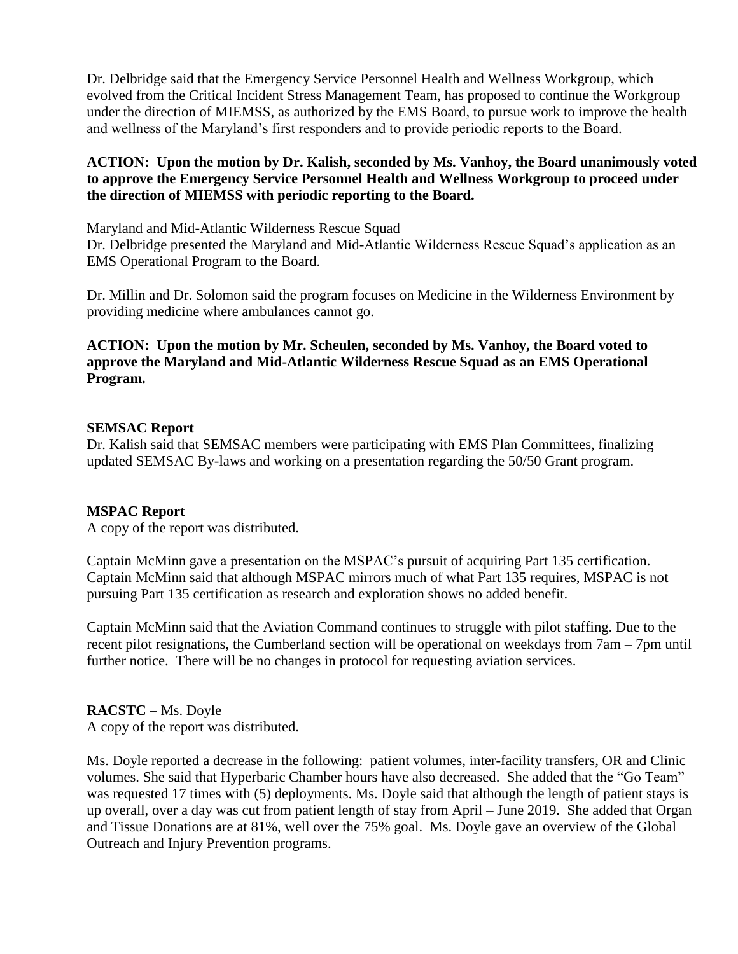Dr. Delbridge said that the Emergency Service Personnel Health and Wellness Workgroup, which evolved from the Critical Incident Stress Management Team, has proposed to continue the Workgroup under the direction of MIEMSS, as authorized by the EMS Board, to pursue work to improve the health and wellness of the Maryland's first responders and to provide periodic reports to the Board.

# **ACTION: Upon the motion by Dr. Kalish, seconded by Ms. Vanhoy, the Board unanimously voted to approve the Emergency Service Personnel Health and Wellness Workgroup to proceed under the direction of MIEMSS with periodic reporting to the Board.**

#### Maryland and Mid-Atlantic Wilderness Rescue Squad

Dr. Delbridge presented the Maryland and Mid-Atlantic Wilderness Rescue Squad's application as an EMS Operational Program to the Board.

Dr. Millin and Dr. Solomon said the program focuses on Medicine in the Wilderness Environment by providing medicine where ambulances cannot go.

# **ACTION: Upon the motion by Mr. Scheulen, seconded by Ms. Vanhoy, the Board voted to approve the Maryland and Mid-Atlantic Wilderness Rescue Squad as an EMS Operational Program.**

# **SEMSAC Report**

Dr. Kalish said that SEMSAC members were participating with EMS Plan Committees, finalizing updated SEMSAC By-laws and working on a presentation regarding the 50/50 Grant program.

# **MSPAC Report**

A copy of the report was distributed.

Captain McMinn gave a presentation on the MSPAC's pursuit of acquiring Part 135 certification. Captain McMinn said that although MSPAC mirrors much of what Part 135 requires, MSPAC is not pursuing Part 135 certification as research and exploration shows no added benefit.

Captain McMinn said that the Aviation Command continues to struggle with pilot staffing. Due to the recent pilot resignations, the Cumberland section will be operational on weekdays from 7am – 7pm until further notice. There will be no changes in protocol for requesting aviation services.

#### **RACSTC –** Ms. Doyle A copy of the report was distributed.

Ms. Doyle reported a decrease in the following: patient volumes, inter-facility transfers, OR and Clinic volumes. She said that Hyperbaric Chamber hours have also decreased. She added that the "Go Team" was requested 17 times with (5) deployments. Ms. Doyle said that although the length of patient stays is up overall, over a day was cut from patient length of stay from April – June 2019. She added that Organ and Tissue Donations are at 81%, well over the 75% goal. Ms. Doyle gave an overview of the Global Outreach and Injury Prevention programs.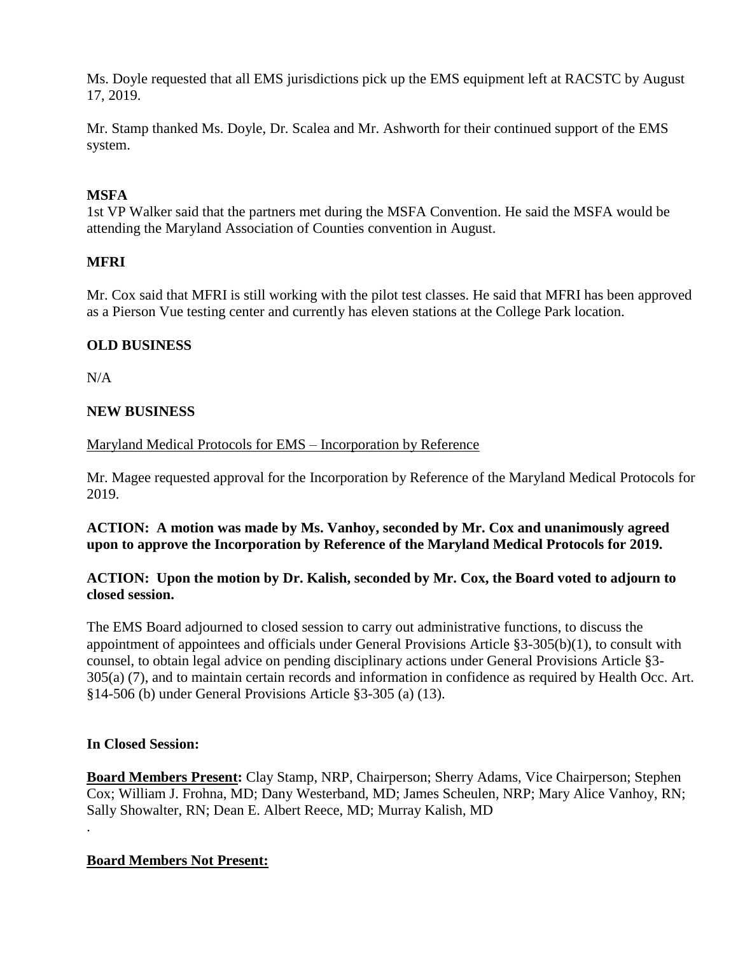Ms. Doyle requested that all EMS jurisdictions pick up the EMS equipment left at RACSTC by August 17, 2019.

Mr. Stamp thanked Ms. Doyle, Dr. Scalea and Mr. Ashworth for their continued support of the EMS system.

# **MSFA**

1st VP Walker said that the partners met during the MSFA Convention. He said the MSFA would be attending the Maryland Association of Counties convention in August.

# **MFRI**

Mr. Cox said that MFRI is still working with the pilot test classes. He said that MFRI has been approved as a Pierson Vue testing center and currently has eleven stations at the College Park location.

# **OLD BUSINESS**

 $N/A$ 

# **NEW BUSINESS**

# Maryland Medical Protocols for EMS – Incorporation by Reference

Mr. Magee requested approval for the Incorporation by Reference of the Maryland Medical Protocols for 2019.

# **ACTION: A motion was made by Ms. Vanhoy, seconded by Mr. Cox and unanimously agreed upon to approve the Incorporation by Reference of the Maryland Medical Protocols for 2019.**

# **ACTION: Upon the motion by Dr. Kalish, seconded by Mr. Cox, the Board voted to adjourn to closed session.**

The EMS Board adjourned to closed session to carry out administrative functions, to discuss the appointment of appointees and officials under General Provisions Article §3-305(b)(1), to consult with counsel, to obtain legal advice on pending disciplinary actions under General Provisions Article §3- 305(a) (7), and to maintain certain records and information in confidence as required by Health Occ. Art. §14-506 (b) under General Provisions Article §3-305 (a) (13).

# **In Closed Session:**

.

**Board Members Present:** Clay Stamp, NRP, Chairperson; Sherry Adams, Vice Chairperson; Stephen Cox; William J. Frohna, MD; Dany Westerband, MD; James Scheulen, NRP; Mary Alice Vanhoy, RN; Sally Showalter, RN; Dean E. Albert Reece, MD; Murray Kalish, MD

# **Board Members Not Present:**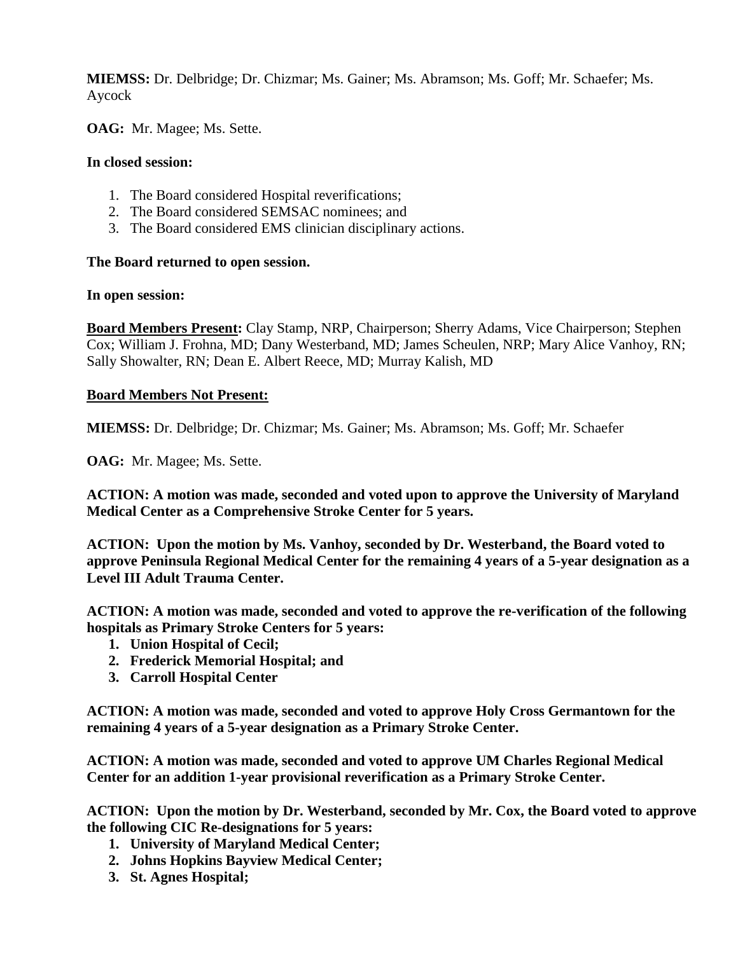**MIEMSS:** Dr. Delbridge; Dr. Chizmar; Ms. Gainer; Ms. Abramson; Ms. Goff; Mr. Schaefer; Ms. Aycock

**OAG:** Mr. Magee; Ms. Sette.

# **In closed session:**

- 1. The Board considered Hospital reverifications;
- 2. The Board considered SEMSAC nominees; and
- 3. The Board considered EMS clinician disciplinary actions.

# **The Board returned to open session.**

#### **In open session:**

**Board Members Present:** Clay Stamp, NRP, Chairperson; Sherry Adams, Vice Chairperson; Stephen Cox; William J. Frohna, MD; Dany Westerband, MD; James Scheulen, NRP; Mary Alice Vanhoy, RN; Sally Showalter, RN; Dean E. Albert Reece, MD; Murray Kalish, MD

# **Board Members Not Present:**

**MIEMSS:** Dr. Delbridge; Dr. Chizmar; Ms. Gainer; Ms. Abramson; Ms. Goff; Mr. Schaefer

**OAG:** Mr. Magee; Ms. Sette.

**ACTION: A motion was made, seconded and voted upon to approve the University of Maryland Medical Center as a Comprehensive Stroke Center for 5 years.**

**ACTION: Upon the motion by Ms. Vanhoy, seconded by Dr. Westerband, the Board voted to approve Peninsula Regional Medical Center for the remaining 4 years of a 5-year designation as a Level III Adult Trauma Center.**

**ACTION: A motion was made, seconded and voted to approve the re-verification of the following hospitals as Primary Stroke Centers for 5 years:**

- **1. Union Hospital of Cecil;**
- **2. Frederick Memorial Hospital; and**
- **3. Carroll Hospital Center**

**ACTION: A motion was made, seconded and voted to approve Holy Cross Germantown for the remaining 4 years of a 5-year designation as a Primary Stroke Center.**

**ACTION: A motion was made, seconded and voted to approve UM Charles Regional Medical Center for an addition 1-year provisional reverification as a Primary Stroke Center.**

**ACTION: Upon the motion by Dr. Westerband, seconded by Mr. Cox, the Board voted to approve the following CIC Re-designations for 5 years:**

- **1. University of Maryland Medical Center;**
- **2. Johns Hopkins Bayview Medical Center;**
- **3. St. Agnes Hospital;**